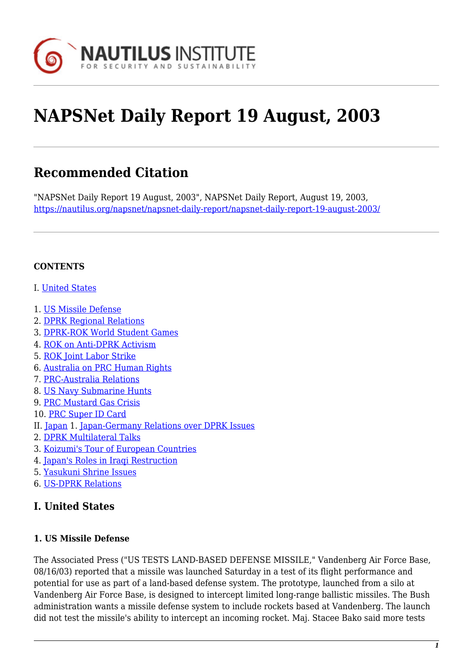

# **NAPSNet Daily Report 19 August, 2003**

# **Recommended Citation**

"NAPSNet Daily Report 19 August, 2003", NAPSNet Daily Report, August 19, 2003, <https://nautilus.org/napsnet/napsnet-daily-report/napsnet-daily-report-19-august-2003/>

#### **CONTENTS**

- I. [United States](#page--1-0)
- 1. [US Missile Defense](#page-0-0)
- 2. [DPRK Regional Relations](#page-1-0)
- 3. [DPRK-ROK World Student Games](#page-1-1)
- 4. [ROK on Anti-DPRK Activism](#page-1-2)
- 5. [ROK Joint Labor Strike](#page-2-0)
- 6. [Australia on PRC Human Rights](#page-2-1)
- 7. [PRC-Australia Relations](#page-2-2)
- 8. [US Navy Submarine Hunts](#page-3-0)
- 9. [PRC Mustard Gas Crisis](#page-3-1)
- 10. [PRC Super ID Card](#page-3-2)
- II. [Japan](#page-4-0) 1. [Japan-Germany Relations over DPRK Issues](#page-4-1)
- 2. [DPRK Multilateral Talks](#page-4-2)
- 3. [Koizumi's Tour of European Countries](#page-5-0)
- 4. [Japan's Roles in Iraqi Restruction](#page-5-1)
- 5. [Yasukuni Shrine Issues](#page-6-0)
- 6. [US-DPRK Relations](#page-6-1)

# **I. United States**

#### <span id="page-0-0"></span>**1. US Missile Defense**

The Associated Press ("US TESTS LAND-BASED DEFENSE MISSILE," Vandenberg Air Force Base, 08/16/03) reported that a missile was launched Saturday in a test of its flight performance and potential for use as part of a land-based defense system. The prototype, launched from a silo at Vandenberg Air Force Base, is designed to intercept limited long-range ballistic missiles. The Bush administration wants a missile defense system to include rockets based at Vandenberg. The launch did not test the missile's ability to intercept an incoming rocket. Maj. Stacee Bako said more tests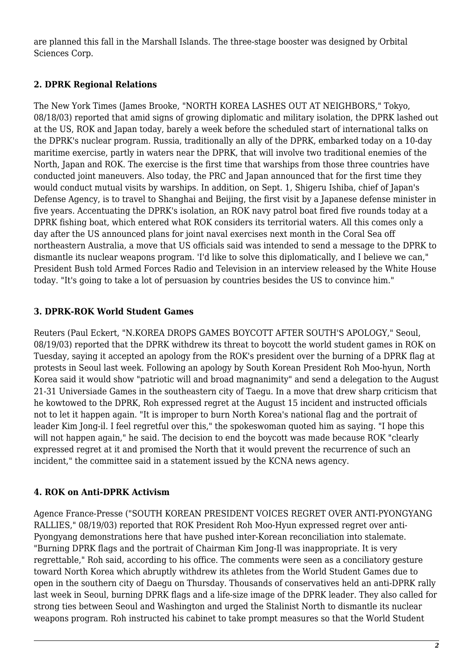are planned this fall in the Marshall Islands. The three-stage booster was designed by Orbital Sciences Corp.

# <span id="page-1-0"></span>**2. DPRK Regional Relations**

The New York Times (James Brooke, "NORTH KOREA LASHES OUT AT NEIGHBORS," Tokyo, 08/18/03) reported that amid signs of growing diplomatic and military isolation, the DPRK lashed out at the US, ROK and Japan today, barely a week before the scheduled start of international talks on the DPRK's nuclear program. Russia, traditionally an ally of the DPRK, embarked today on a 10-day maritime exercise, partly in waters near the DPRK, that will involve two traditional enemies of the North, Japan and ROK. The exercise is the first time that warships from those three countries have conducted joint maneuvers. Also today, the PRC and Japan announced that for the first time they would conduct mutual visits by warships. In addition, on Sept. 1, Shigeru Ishiba, chief of Japan's Defense Agency, is to travel to Shanghai and Beijing, the first visit by a Japanese defense minister in five years. Accentuating the DPRK's isolation, an ROK navy patrol boat fired five rounds today at a DPRK fishing boat, which entered what ROK considers its territorial waters. All this comes only a day after the US announced plans for joint naval exercises next month in the Coral Sea off northeastern Australia, a move that US officials said was intended to send a message to the DPRK to dismantle its nuclear weapons program. 'I'd like to solve this diplomatically, and I believe we can," President Bush told Armed Forces Radio and Television in an interview released by the White House today. "It's going to take a lot of persuasion by countries besides the US to convince him."

# <span id="page-1-1"></span>**3. DPRK-ROK World Student Games**

Reuters (Paul Eckert, "N.KOREA DROPS GAMES BOYCOTT AFTER SOUTH'S APOLOGY," Seoul, 08/19/03) reported that the DPRK withdrew its threat to boycott the world student games in ROK on Tuesday, saying it accepted an apology from the ROK's president over the burning of a DPRK flag at protests in Seoul last week. Following an apology by South Korean President Roh Moo-hyun, North Korea said it would show "patriotic will and broad magnanimity" and send a delegation to the August 21-31 Universiade Games in the southeastern city of Taegu. In a move that drew sharp criticism that he kowtowed to the DPRK, Roh expressed regret at the August 15 incident and instructed officials not to let it happen again. "It is improper to burn North Korea's national flag and the portrait of leader Kim Jong-il. I feel regretful over this," the spokeswoman quoted him as saying. "I hope this will not happen again," he said. The decision to end the boycott was made because ROK "clearly expressed regret at it and promised the North that it would prevent the recurrence of such an incident," the committee said in a statement issued by the KCNA news agency.

# <span id="page-1-2"></span>**4. ROK on Anti-DPRK Activism**

Agence France-Presse ("SOUTH KOREAN PRESIDENT VOICES REGRET OVER ANTI-PYONGYANG RALLIES," 08/19/03) reported that ROK President Roh Moo-Hyun expressed regret over anti-Pyongyang demonstrations here that have pushed inter-Korean reconciliation into stalemate. "Burning DPRK flags and the portrait of Chairman Kim Jong-Il was inappropriate. It is very regrettable," Roh said, according to his office. The comments were seen as a conciliatory gesture toward North Korea which abruptly withdrew its athletes from the World Student Games due to open in the southern city of Daegu on Thursday. Thousands of conservatives held an anti-DPRK rally last week in Seoul, burning DPRK flags and a life-size image of the DPRK leader. They also called for strong ties between Seoul and Washington and urged the Stalinist North to dismantle its nuclear weapons program. Roh instructed his cabinet to take prompt measures so that the World Student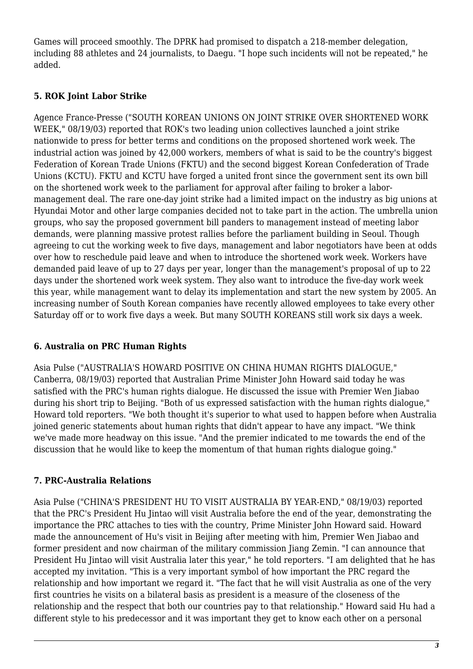Games will proceed smoothly. The DPRK had promised to dispatch a 218-member delegation, including 88 athletes and 24 journalists, to Daegu. "I hope such incidents will not be repeated," he added.

### <span id="page-2-0"></span>**5. ROK Joint Labor Strike**

Agence France-Presse ("SOUTH KOREAN UNIONS ON JOINT STRIKE OVER SHORTENED WORK WEEK," 08/19/03) reported that ROK's two leading union collectives launched a joint strike nationwide to press for better terms and conditions on the proposed shortened work week. The industrial action was joined by 42,000 workers, members of what is said to be the country's biggest Federation of Korean Trade Unions (FKTU) and the second biggest Korean Confederation of Trade Unions (KCTU). FKTU and KCTU have forged a united front since the government sent its own bill on the shortened work week to the parliament for approval after failing to broker a labormanagement deal. The rare one-day joint strike had a limited impact on the industry as big unions at Hyundai Motor and other large companies decided not to take part in the action. The umbrella union groups, who say the proposed government bill panders to management instead of meeting labor demands, were planning massive protest rallies before the parliament building in Seoul. Though agreeing to cut the working week to five days, management and labor negotiators have been at odds over how to reschedule paid leave and when to introduce the shortened work week. Workers have demanded paid leave of up to 27 days per year, longer than the management's proposal of up to 22 days under the shortened work week system. They also want to introduce the five-day work week this year, while management want to delay its implementation and start the new system by 2005. An increasing number of South Korean companies have recently allowed employees to take every other Saturday off or to work five days a week. But many SOUTH KOREANS still work six days a week.

# <span id="page-2-1"></span>**6. Australia on PRC Human Rights**

Asia Pulse ("AUSTRALIA'S HOWARD POSITIVE ON CHINA HUMAN RIGHTS DIALOGUE," Canberra, 08/19/03) reported that Australian Prime Minister John Howard said today he was satisfied with the PRC's human rights dialogue. He discussed the issue with Premier Wen Jiabao during his short trip to Beijing. "Both of us expressed satisfaction with the human rights dialogue," Howard told reporters. "We both thought it's superior to what used to happen before when Australia joined generic statements about human rights that didn't appear to have any impact. "We think we've made more headway on this issue. "And the premier indicated to me towards the end of the discussion that he would like to keep the momentum of that human rights dialogue going."

#### <span id="page-2-2"></span>**7. PRC-Australia Relations**

Asia Pulse ("CHINA'S PRESIDENT HU TO VISIT AUSTRALIA BY YEAR-END," 08/19/03) reported that the PRC's President Hu Jintao will visit Australia before the end of the year, demonstrating the importance the PRC attaches to ties with the country, Prime Minister John Howard said. Howard made the announcement of Hu's visit in Beijing after meeting with him, Premier Wen Jiabao and former president and now chairman of the military commission Jiang Zemin. "I can announce that President Hu Jintao will visit Australia later this year," he told reporters. "I am delighted that he has accepted my invitation. "This is a very important symbol of how important the PRC regard the relationship and how important we regard it. "The fact that he will visit Australia as one of the very first countries he visits on a bilateral basis as president is a measure of the closeness of the relationship and the respect that both our countries pay to that relationship." Howard said Hu had a different style to his predecessor and it was important they get to know each other on a personal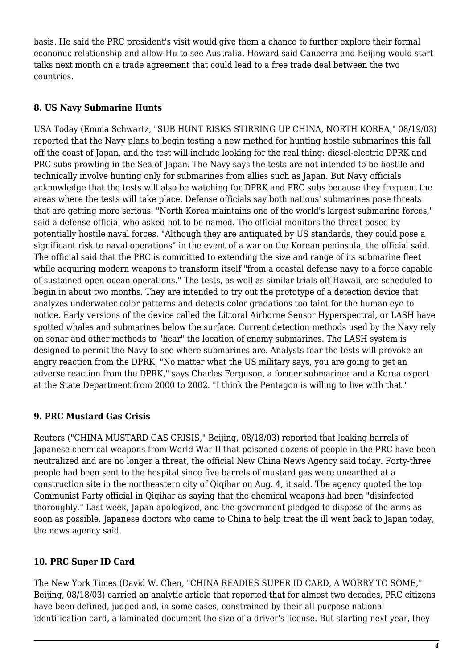basis. He said the PRC president's visit would give them a chance to further explore their formal economic relationship and allow Hu to see Australia. Howard said Canberra and Beijing would start talks next month on a trade agreement that could lead to a free trade deal between the two countries.

#### <span id="page-3-0"></span>**8. US Navy Submarine Hunts**

USA Today (Emma Schwartz, "SUB HUNT RISKS STIRRING UP CHINA, NORTH KOREA," 08/19/03) reported that the Navy plans to begin testing a new method for hunting hostile submarines this fall off the coast of Japan, and the test will include looking for the real thing: diesel-electric DPRK and PRC subs prowling in the Sea of Japan. The Navy says the tests are not intended to be hostile and technically involve hunting only for submarines from allies such as Japan. But Navy officials acknowledge that the tests will also be watching for DPRK and PRC subs because they frequent the areas where the tests will take place. Defense officials say both nations' submarines pose threats that are getting more serious. "North Korea maintains one of the world's largest submarine forces," said a defense official who asked not to be named. The official monitors the threat posed by potentially hostile naval forces. "Although they are antiquated by US standards, they could pose a significant risk to naval operations" in the event of a war on the Korean peninsula, the official said. The official said that the PRC is committed to extending the size and range of its submarine fleet while acquiring modern weapons to transform itself "from a coastal defense navy to a force capable of sustained open-ocean operations." The tests, as well as similar trials off Hawaii, are scheduled to begin in about two months. They are intended to try out the prototype of a detection device that analyzes underwater color patterns and detects color gradations too faint for the human eye to notice. Early versions of the device called the Littoral Airborne Sensor Hyperspectral, or LASH have spotted whales and submarines below the surface. Current detection methods used by the Navy rely on sonar and other methods to "hear" the location of enemy submarines. The LASH system is designed to permit the Navy to see where submarines are. Analysts fear the tests will provoke an angry reaction from the DPRK. "No matter what the US military says, you are going to get an adverse reaction from the DPRK," says Charles Ferguson, a former submariner and a Korea expert at the State Department from 2000 to 2002. "I think the Pentagon is willing to live with that."

# <span id="page-3-1"></span>**9. PRC Mustard Gas Crisis**

Reuters ("CHINA MUSTARD GAS CRISIS," Beijing, 08/18/03) reported that leaking barrels of Japanese chemical weapons from World War II that poisoned dozens of people in the PRC have been neutralized and are no longer a threat, the official New China News Agency said today. Forty-three people had been sent to the hospital since five barrels of mustard gas were unearthed at a construction site in the northeastern city of Qiqihar on Aug. 4, it said. The agency quoted the top Communist Party official in Qiqihar as saying that the chemical weapons had been "disinfected thoroughly." Last week, Japan apologized, and the government pledged to dispose of the arms as soon as possible. Japanese doctors who came to China to help treat the ill went back to Japan today, the news agency said.

#### <span id="page-3-2"></span>**10. PRC Super ID Card**

The New York Times (David W. Chen, "CHINA READIES SUPER ID CARD, A WORRY TO SOME," Beijing, 08/18/03) carried an analytic article that reported that for almost two decades, PRC citizens have been defined, judged and, in some cases, constrained by their all-purpose national identification card, a laminated document the size of a driver's license. But starting next year, they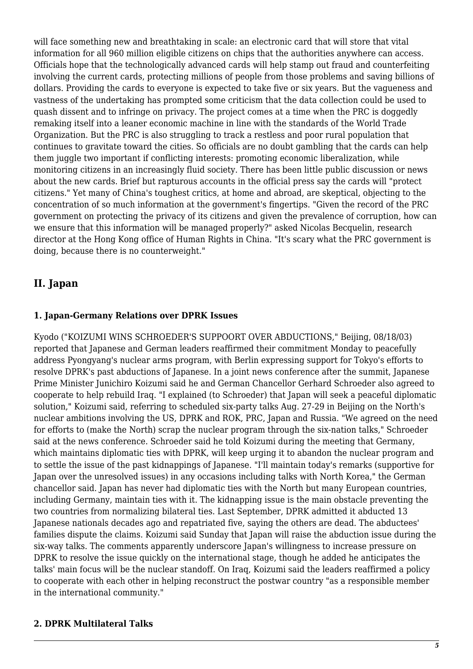will face something new and breathtaking in scale: an electronic card that will store that vital information for all 960 million eligible citizens on chips that the authorities anywhere can access. Officials hope that the technologically advanced cards will help stamp out fraud and counterfeiting involving the current cards, protecting millions of people from those problems and saving billions of dollars. Providing the cards to everyone is expected to take five or six years. But the vagueness and vastness of the undertaking has prompted some criticism that the data collection could be used to quash dissent and to infringe on privacy. The project comes at a time when the PRC is doggedly remaking itself into a leaner economic machine in line with the standards of the World Trade Organization. But the PRC is also struggling to track a restless and poor rural population that continues to gravitate toward the cities. So officials are no doubt gambling that the cards can help them juggle two important if conflicting interests: promoting economic liberalization, while monitoring citizens in an increasingly fluid society. There has been little public discussion or news about the new cards. Brief but rapturous accounts in the official press say the cards will "protect citizens." Yet many of China's toughest critics, at home and abroad, are skeptical, objecting to the concentration of so much information at the government's fingertips. "Given the record of the PRC government on protecting the privacy of its citizens and given the prevalence of corruption, how can we ensure that this information will be managed properly?" asked Nicolas Becquelin, research director at the Hong Kong office of Human Rights in China. "It's scary what the PRC government is doing, because there is no counterweight."

# <span id="page-4-0"></span>**II. Japan**

#### <span id="page-4-1"></span>**1. Japan-Germany Relations over DPRK Issues**

Kyodo ("KOIZUMI WINS SCHROEDER'S SUPPOORT OVER ABDUCTIONS," Beijing, 08/18/03) reported that Japanese and German leaders reaffirmed their commitment Monday to peacefully address Pyongyang's nuclear arms program, with Berlin expressing support for Tokyo's efforts to resolve DPRK's past abductions of Japanese. In a joint news conference after the summit, Japanese Prime Minister Junichiro Koizumi said he and German Chancellor Gerhard Schroeder also agreed to cooperate to help rebuild Iraq. "I explained (to Schroeder) that Japan will seek a peaceful diplomatic solution," Koizumi said, referring to scheduled six-party talks Aug. 27-29 in Beijing on the North's nuclear ambitions involving the US, DPRK and ROK, PRC, Japan and Russia. "We agreed on the need for efforts to (make the North) scrap the nuclear program through the six-nation talks," Schroeder said at the news conference. Schroeder said he told Koizumi during the meeting that Germany, which maintains diplomatic ties with DPRK, will keep urging it to abandon the nuclear program and to settle the issue of the past kidnappings of Japanese. "I'll maintain today's remarks (supportive for Japan over the unresolved issues) in any occasions including talks with North Korea," the German chancellor said. Japan has never had diplomatic ties with the North but many European countries, including Germany, maintain ties with it. The kidnapping issue is the main obstacle preventing the two countries from normalizing bilateral ties. Last September, DPRK admitted it abducted 13 Japanese nationals decades ago and repatriated five, saying the others are dead. The abductees' families dispute the claims. Koizumi said Sunday that Japan will raise the abduction issue during the six-way talks. The comments apparently underscore Japan's willingness to increase pressure on DPRK to resolve the issue quickly on the international stage, though he added he anticipates the talks' main focus will be the nuclear standoff. On Iraq, Koizumi said the leaders reaffirmed a policy to cooperate with each other in helping reconstruct the postwar country "as a responsible member in the international community."

#### <span id="page-4-2"></span>**2. DPRK Multilateral Talks**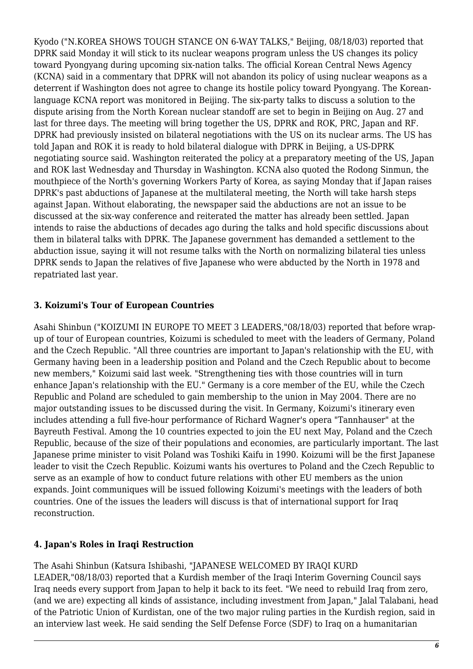Kyodo ("N.KOREA SHOWS TOUGH STANCE ON 6-WAY TALKS," Beijing, 08/18/03) reported that DPRK said Monday it will stick to its nuclear weapons program unless the US changes its policy toward Pyongyang during upcoming six-nation talks. The official Korean Central News Agency (KCNA) said in a commentary that DPRK will not abandon its policy of using nuclear weapons as a deterrent if Washington does not agree to change its hostile policy toward Pyongyang. The Koreanlanguage KCNA report was monitored in Beijing. The six-party talks to discuss a solution to the dispute arising from the North Korean nuclear standoff are set to begin in Beijing on Aug. 27 and last for three days. The meeting will bring together the US, DPRK and ROK, PRC, Japan and RF. DPRK had previously insisted on bilateral negotiations with the US on its nuclear arms. The US has told Japan and ROK it is ready to hold bilateral dialogue with DPRK in Beijing, a US-DPRK negotiating source said. Washington reiterated the policy at a preparatory meeting of the US, Japan and ROK last Wednesday and Thursday in Washington. KCNA also quoted the Rodong Sinmun, the mouthpiece of the North's governing Workers Party of Korea, as saying Monday that if Japan raises DPRK's past abductions of Japanese at the multilateral meeting, the North will take harsh steps against Japan. Without elaborating, the newspaper said the abductions are not an issue to be discussed at the six-way conference and reiterated the matter has already been settled. Japan intends to raise the abductions of decades ago during the talks and hold specific discussions about them in bilateral talks with DPRK. The Japanese government has demanded a settlement to the abduction issue, saying it will not resume talks with the North on normalizing bilateral ties unless DPRK sends to Japan the relatives of five Japanese who were abducted by the North in 1978 and repatriated last year.

#### <span id="page-5-0"></span>**3. Koizumi's Tour of European Countries**

Asahi Shinbun ("KOIZUMI IN EUROPE TO MEET 3 LEADERS,"08/18/03) reported that before wrapup of tour of European countries, Koizumi is scheduled to meet with the leaders of Germany, Poland and the Czech Republic. "All three countries are important to Japan's relationship with the EU, with Germany having been in a leadership position and Poland and the Czech Republic about to become new members," Koizumi said last week. "Strengthening ties with those countries will in turn enhance Japan's relationship with the EU." Germany is a core member of the EU, while the Czech Republic and Poland are scheduled to gain membership to the union in May 2004. There are no major outstanding issues to be discussed during the visit. In Germany, Koizumi's itinerary even includes attending a full five-hour performance of Richard Wagner's opera "Tannhauser" at the Bayreuth Festival. Among the 10 countries expected to join the EU next May, Poland and the Czech Republic, because of the size of their populations and economies, are particularly important. The last Japanese prime minister to visit Poland was Toshiki Kaifu in 1990. Koizumi will be the first Japanese leader to visit the Czech Republic. Koizumi wants his overtures to Poland and the Czech Republic to serve as an example of how to conduct future relations with other EU members as the union expands. Joint communiques will be issued following Koizumi's meetings with the leaders of both countries. One of the issues the leaders will discuss is that of international support for Iraq reconstruction.

#### <span id="page-5-1"></span>**4. Japan's Roles in Iraqi Restruction**

The Asahi Shinbun (Katsura Ishibashi, "JAPANESE WELCOMED BY IRAQI KURD LEADER,"08/18/03) reported that a Kurdish member of the Iraqi Interim Governing Council says Iraq needs every support from Japan to help it back to its feet. "We need to rebuild Iraq from zero, (and we are) expecting all kinds of assistance, including investment from Japan," Jalal Talabani, head of the Patriotic Union of Kurdistan, one of the two major ruling parties in the Kurdish region, said in an interview last week. He said sending the Self Defense Force (SDF) to Iraq on a humanitarian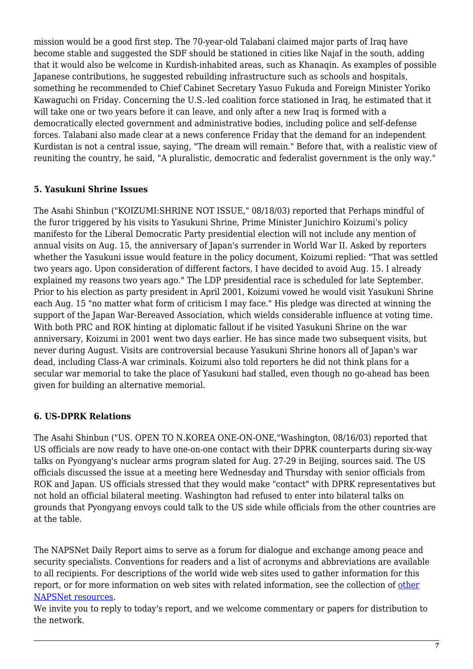mission would be a good first step. The 70-year-old Talabani claimed major parts of Iraq have become stable and suggested the SDF should be stationed in cities like Najaf in the south, adding that it would also be welcome in Kurdish-inhabited areas, such as Khanaqin. As examples of possible Japanese contributions, he suggested rebuilding infrastructure such as schools and hospitals, something he recommended to Chief Cabinet Secretary Yasuo Fukuda and Foreign Minister Yoriko Kawaguchi on Friday. Concerning the U.S.-led coalition force stationed in Iraq, he estimated that it will take one or two years before it can leave, and only after a new Iraq is formed with a democratically elected government and administrative bodies, including police and self-defense forces. Talabani also made clear at a news conference Friday that the demand for an independent Kurdistan is not a central issue, saying, "The dream will remain." Before that, with a realistic view of reuniting the country, he said, "A pluralistic, democratic and federalist government is the only way."

#### <span id="page-6-0"></span>**5. Yasukuni Shrine Issues**

The Asahi Shinbun ("KOIZUMI:SHRINE NOT ISSUE," 08/18/03) reported that Perhaps mindful of the furor triggered by his visits to Yasukuni Shrine, Prime Minister Junichiro Koizumi's policy manifesto for the Liberal Democratic Party presidential election will not include any mention of annual visits on Aug. 15, the anniversary of Japan's surrender in World War II. Asked by reporters whether the Yasukuni issue would feature in the policy document, Koizumi replied: "That was settled two years ago. Upon consideration of different factors, I have decided to avoid Aug. 15. I already explained my reasons two years ago." The LDP presidential race is scheduled for late September. Prior to his election as party president in April 2001, Koizumi vowed he would visit Yasukuni Shrine each Aug. 15 "no matter what form of criticism I may face." His pledge was directed at winning the support of the Japan War-Bereaved Association, which wields considerable influence at voting time. With both PRC and ROK hinting at diplomatic fallout if he visited Yasukuni Shrine on the war anniversary, Koizumi in 2001 went two days earlier. He has since made two subsequent visits, but never during August. Visits are controversial because Yasukuni Shrine honors all of Japan's war dead, including Class-A war criminals. Koizumi also told reporters he did not think plans for a secular war memorial to take the place of Yasukuni had stalled, even though no go-ahead has been given for building an alternative memorial.

#### <span id="page-6-1"></span>**6. US-DPRK Relations**

The Asahi Shinbun ("US. OPEN TO N.KOREA ONE-ON-ONE,"Washington, 08/16/03) reported that US officials are now ready to have one-on-one contact with their DPRK counterparts during six-way talks on Pyongyang's nuclear arms program slated for Aug. 27-29 in Beijing, sources said. The US officials discussed the issue at a meeting here Wednesday and Thursday with senior officials from ROK and Japan. US officials stressed that they would make "contact" with DPRK representatives but not hold an official bilateral meeting. Washington had refused to enter into bilateral talks on grounds that Pyongyang envoys could talk to the US side while officials from the other countries are at the table.

The NAPSNet Daily Report aims to serve as a forum for dialogue and exchange among peace and security specialists. Conventions for readers and a list of acronyms and abbreviations are available to all recipients. For descriptions of the world wide web sites used to gather information for this report, or for more information on web sites with related information, see the collection of [other](http://nautilus.org/kiosk/weblinks.html) [NAPSNet resources.](http://nautilus.org/kiosk/weblinks.html)

We invite you to reply to today's report, and we welcome commentary or papers for distribution to the network.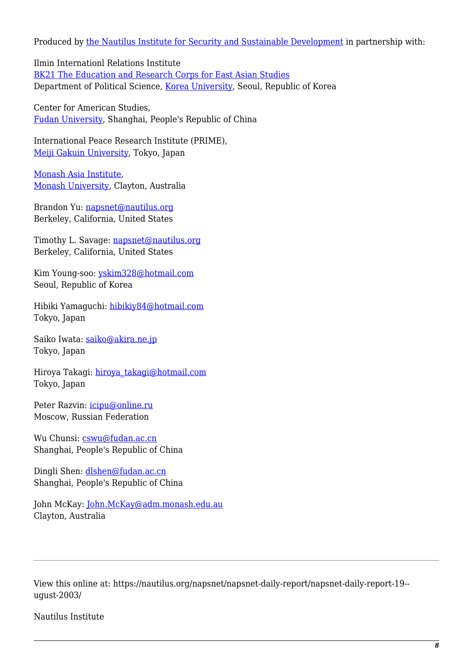Produced by [the Nautilus Institute for Security and Sustainable Development](http://nautilus.org/admin/about.html) in partnership with:

Ilmin Internationl Relations Institute [BK21 The Education and Research Corps for East Asian Studies](http://web.korea.ac.kr/~politics/index.html) Department of Political Science, [Korea University,](http://www.korea.ac.kr/) Seoul, Republic of Korea

Center for American Studies, [Fudan University](http://www.fudan.edu.cn/English/nsindex.html), Shanghai, People's Republic of China

International Peace Research Institute (PRIME), [Meiji Gakuin University,](http://www.meijigakuin.ac.jp) Tokyo, Japan

[Monash Asia Institute,](http://www.adm.monash.edu.au) [Monash University](http://www.monash.edu.au/), Clayton, Australia

Brandon Yu: [napsnet@nautilus.org](mailto:napsnet@nautilus.org) Berkeley, California, United States

Timothy L. Savage: [napsnet@nautilus.org](mailto:napsnet@nautilus.org) Berkeley, California, United States

Kim Young-soo: [yskim328@hotmail.com](mailto:yskim328@hotmail.com) Seoul, Republic of Korea

Hibiki Yamaguchi: [hibikiy84@hotmail.com](mailto:hibikiy@dh.mbn.or.jp) Tokyo, Japan

Saiko Iwata: [saiko@akira.ne.jp](mailto:rumiko-seya@geocities.co.jp) Tokyo, Japan

Hiroya Takagi: [hiroya\\_takagi@hotmail.com](mailto:hiroya_takagi@hotmail.com) Tokyo, Japan

Peter Razvin: [icipu@online.ru](mailto:icipu@online.ru) Moscow, Russian Federation

Wu Chunsi: [cswu@fudan.ac.cn](mailto:cswu@fudan.ac.cn) Shanghai, People's Republic of China

Dingli Shen: [dlshen@fudan.ac.cn](mailto:dlshen@fudan.ac.cn) Shanghai, People's Republic of China

John McKay: [John.McKay@adm.monash.edu.au](mailto:John.McKay@adm.monash.edu.au) Clayton, Australia

View this online at: https://nautilus.org/napsnet/napsnet-daily-report/napsnet-daily-report-19- ugust-2003/

Nautilus Institute